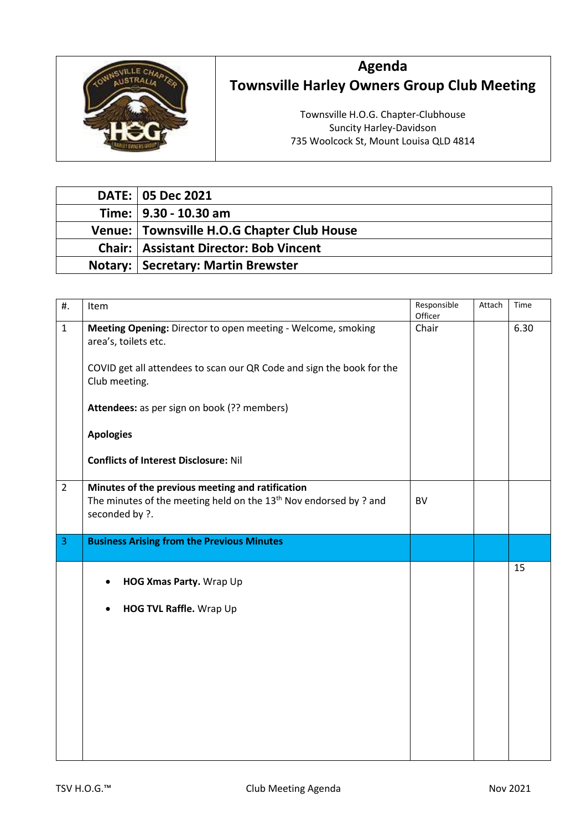

## **Agenda Townsville Harley Owners Group Club Meeting**

Townsville H.O.G. Chapter-Clubhouse Suncity Harley-Davidson 735 Woolcock St, Mount Louisa QLD 4814

| <b>DATE: 05 Dec 2021</b>                        |
|-------------------------------------------------|
| Time:   9.30 - 10.30 am                         |
| Venue: Townsville H.O.G Chapter Club House      |
| <b>Chair:   Assistant Director: Bob Vincent</b> |
| <b>Notary: Secretary: Martin Brewster</b>       |

| #.             | Item                                                                                                                                               | Responsible<br>Officer | Attach | Time |
|----------------|----------------------------------------------------------------------------------------------------------------------------------------------------|------------------------|--------|------|
| $\mathbf{1}$   | Meeting Opening: Director to open meeting - Welcome, smoking<br>area's, toilets etc.                                                               | Chair                  |        | 6.30 |
|                | COVID get all attendees to scan our QR Code and sign the book for the<br>Club meeting.                                                             |                        |        |      |
|                | Attendees: as per sign on book (?? members)                                                                                                        |                        |        |      |
|                | <b>Apologies</b>                                                                                                                                   |                        |        |      |
|                | <b>Conflicts of Interest Disclosure: Nil</b>                                                                                                       |                        |        |      |
| $\overline{2}$ | Minutes of the previous meeting and ratification<br>The minutes of the meeting held on the 13 <sup>th</sup> Nov endorsed by? and<br>seconded by ?. | <b>BV</b>              |        |      |
| 3              | <b>Business Arising from the Previous Minutes</b>                                                                                                  |                        |        |      |
|                | HOG Xmas Party. Wrap Up                                                                                                                            |                        |        | 15   |
|                | HOG TVL Raffle. Wrap Up                                                                                                                            |                        |        |      |
|                |                                                                                                                                                    |                        |        |      |
|                |                                                                                                                                                    |                        |        |      |
|                |                                                                                                                                                    |                        |        |      |
|                |                                                                                                                                                    |                        |        |      |
|                |                                                                                                                                                    |                        |        |      |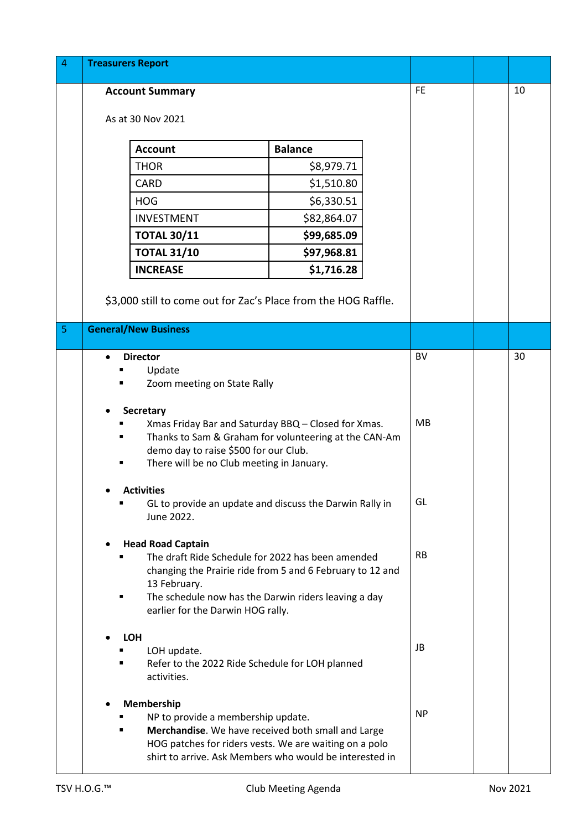| 4 | <b>Treasurers Report</b>                                                                                          |                |           |           |    |
|---|-------------------------------------------------------------------------------------------------------------------|----------------|-----------|-----------|----|
|   | <b>Account Summary</b>                                                                                            |                | <b>FE</b> | 10        |    |
|   | As at 30 Nov 2021                                                                                                 |                |           |           |    |
|   | <b>Account</b>                                                                                                    | <b>Balance</b> |           |           |    |
|   | <b>THOR</b>                                                                                                       | \$8,979.71     |           |           |    |
|   | <b>CARD</b>                                                                                                       | \$1,510.80     |           |           |    |
|   | <b>HOG</b>                                                                                                        | \$6,330.51     |           |           |    |
|   | <b>INVESTMENT</b>                                                                                                 | \$82,864.07    |           |           |    |
|   | <b>TOTAL 30/11</b>                                                                                                | \$99,685.09    |           |           |    |
|   | <b>TOTAL 31/10</b>                                                                                                | \$97,968.81    |           |           |    |
|   | <b>INCREASE</b>                                                                                                   | \$1,716.28     |           |           |    |
|   | \$3,000 still to come out for Zac's Place from the HOG Raffle.                                                    |                |           |           |    |
| 5 | <b>General/New Business</b>                                                                                       |                |           |           |    |
|   |                                                                                                                   |                |           |           |    |
|   | <b>Director</b>                                                                                                   |                |           | <b>BV</b> | 30 |
|   | Update<br>Zoom meeting on State Rally                                                                             |                |           |           |    |
|   |                                                                                                                   |                |           |           |    |
|   | <b>Secretary</b>                                                                                                  |                |           |           |    |
|   | Xmas Friday Bar and Saturday BBQ - Closed for Xmas.                                                               |                |           | <b>MB</b> |    |
|   | Thanks to Sam & Graham for volunteering at the CAN-Am<br>demo day to raise \$500 for our Club.                    |                |           |           |    |
|   | There will be no Club meeting in January.                                                                         |                |           |           |    |
|   |                                                                                                                   |                |           |           |    |
|   | <b>Activities</b><br>GL to provide an update and discuss the Darwin Rally in                                      |                |           | GL        |    |
|   | June 2022.                                                                                                        |                |           |           |    |
|   |                                                                                                                   |                |           |           |    |
|   | <b>Head Road Captain</b>                                                                                          |                |           | <b>RB</b> |    |
|   | The draft Ride Schedule for 2022 has been amended<br>changing the Prairie ride from 5 and 6 February to 12 and    |                |           |           |    |
|   | 13 February.                                                                                                      |                |           |           |    |
|   | The schedule now has the Darwin riders leaving a day                                                              |                |           |           |    |
|   | earlier for the Darwin HOG rally.                                                                                 |                |           |           |    |
|   | <b>LOH</b>                                                                                                        |                |           |           |    |
|   | LOH update.                                                                                                       |                |           | JB        |    |
|   | Refer to the 2022 Ride Schedule for LOH planned<br>activities.                                                    |                |           |           |    |
|   | Membership                                                                                                        |                |           |           |    |
|   | NP to provide a membership update.                                                                                |                |           | <b>NP</b> |    |
|   | Merchandise. We have received both small and Large                                                                |                |           |           |    |
|   | HOG patches for riders vests. We are waiting on a polo<br>shirt to arrive. Ask Members who would be interested in |                |           |           |    |
|   |                                                                                                                   |                |           |           |    |